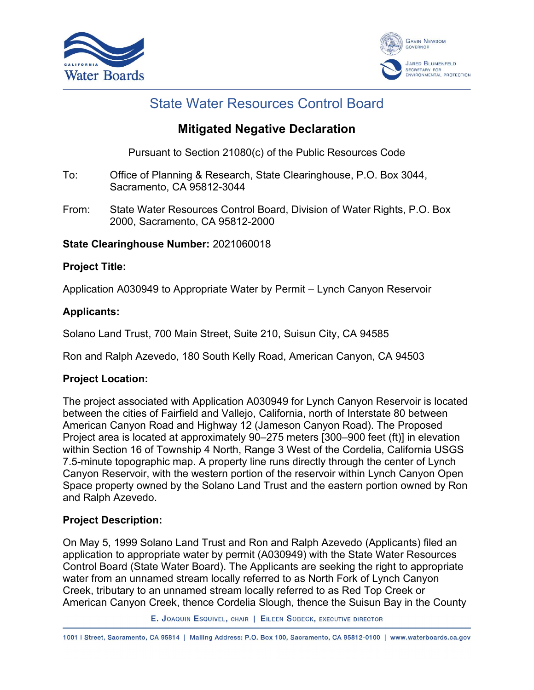



# State Water Resources Control Board

## **Mitigated Negative Declaration**

Pursuant to Section 21080(c) of the Public Resources Code

- To: Office of Planning & Research, State Clearinghouse, P.O. Box 3044, Sacramento, CA 95812-3044
- From: State Water Resources Control Board, Division of Water Rights, P.O. Box 2000, Sacramento, CA 95812-2000

## **State Clearinghouse Number:** 2021060018

## **Project Title:**

Application A030949 to Appropriate Water by Permit – Lynch Canyon Reservoir

## **Applicants:**

Solano Land Trust, 700 Main Street, Suite 210, Suisun City, CA 94585

Ron and Ralph Azevedo, 180 South Kelly Road, American Canyon, CA 94503

## **Project Location:**

The project associated with Application A030949 for Lynch Canyon Reservoir is located between the cities of Fairfield and Vallejo, California, north of Interstate 80 between American Canyon Road and Highway 12 (Jameson Canyon Road). The Proposed Project area is located at approximately 90–275 meters [300–900 feet (ft)] in elevation within Section 16 of Township 4 North, Range 3 West of the Cordelia, California USGS 7.5-minute topographic map. A property line runs directly through the center of Lynch Canyon Reservoir, with the western portion of the reservoir within Lynch Canyon Open Space property owned by the Solano Land Trust and the eastern portion owned by Ron and Ralph Azevedo.

## **Project Description:**

On May 5, 1999 Solano Land Trust and Ron and Ralph Azevedo (Applicants) filed an application to appropriate water by permit (A030949) with the State Water Resources Control Board (State Water Board). The Applicants are seeking the right to appropriate water from an unnamed stream locally referred to as North Fork of Lynch Canyon Creek, tributary to an unnamed stream locally referred to as Red Top Creek or American Canyon Creek, thence Cordelia Slough, thence the Suisun Bay in the County

E. JOAQUIN ESQUIVEL, CHAIR | EILEEN SOBECK, EXECUTIVE DIRECTOR

1001 | Street, Sacramento, CA 95814 | Mailing Address: P.O. Box 100, Sacramento, CA 95812-0100 | www.waterboards.ca.gov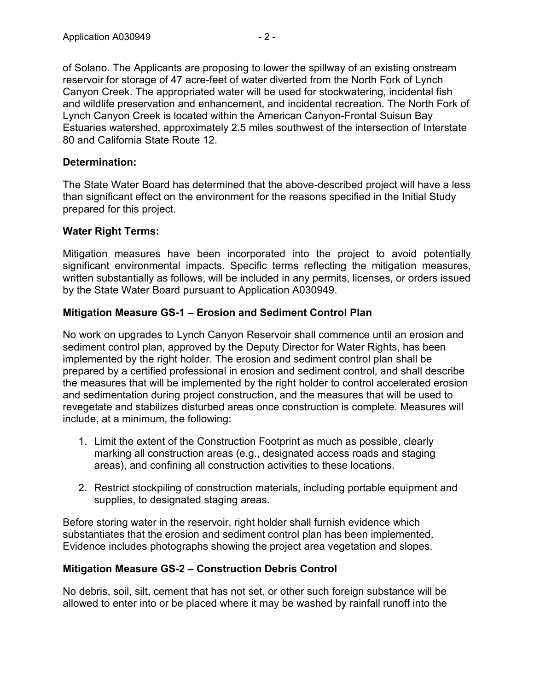of Solano. The Applicants are proposing to lower the spillway of an existing onstream reservoir for storage of 47 acre-feet of water diverted from the North Fork of Lynch Canyon Creek. The appropriated water will be used for stockwatering, incidental fish and wildlife preservation and enhancement, and incidental recreation. The North Fork of Lynch Canyon Creek is located within the American Canyon-Frontal Suisun Bay Estuaries watershed, approximately 2.5 miles southwest of the intersection of Interstate 80 and California State Route 12.

#### **Determination:**

The State Water Board has determined that the above-described project will have a less than significant effect on the environment for the reasons specified in the Initial Study prepared for this project.

#### **Water Right Terms:**

Mitigation measures have been incorporated into the project to avoid potentially significant environmental impacts. Specific terms reflecting the mitigation measures, written substantially as follows, will be included in any permits, licenses, or orders issued by the State Water Board pursuant to Application A030949.

## **Mitigation Measure GS-1 – Erosion and Sediment Control Plan**

No work on upgrades to Lynch Canyon Reservoir shall commence until an erosion and sediment control plan, approved by the Deputy Director for Water Rights, has been implemented by the right holder. The erosion and sediment control plan shall be prepared by a certified professional in erosion and sediment control, and shall describe the measures that will be implemented by the right holder to control accelerated erosion and sedimentation during project construction, and the measures that will be used to revegetate and stabilizes disturbed areas once construction is complete. Measures will include, at a minimum, the following:

- 1. Limit the extent of the Construction Footprint as much as possible, clearly marking all construction areas (e.g., designated access roads and staging areas), and confining all construction activities to these locations.
- 2. Restrict stockpiling of construction materials, including portable equipment and supplies, to designated staging areas.

Before storing water in the reservoir, right holder shall furnish evidence which substantiates that the erosion and sediment control plan has been implemented. Evidence includes photographs showing the project area vegetation and slopes.

## **Mitigation Measure GS-2 – Construction Debris Control**

No debris, soil, silt, cement that has not set, or other such foreign substance will be allowed to enter into or be placed where it may be washed by rainfall runoff into the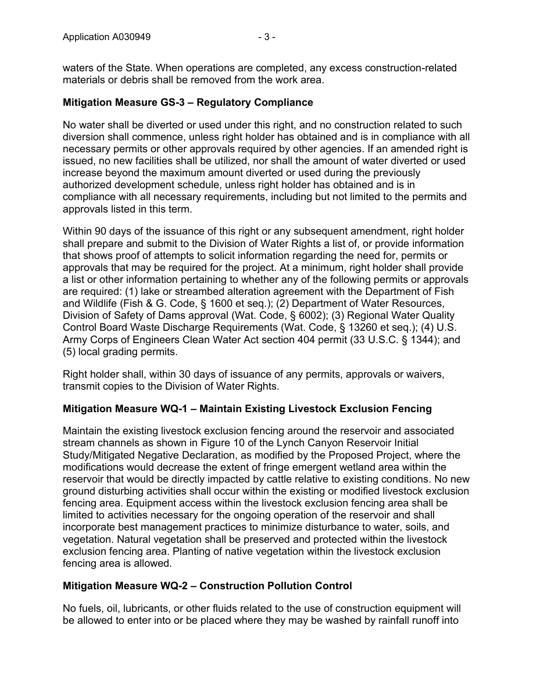waters of the State. When operations are completed, any excess construction-related materials or debris shall be removed from the work area.

## **Mitigation Measure GS-3 – Regulatory Compliance**

No water shall be diverted or used under this right, and no construction related to such diversion shall commence, unless right holder has obtained and is in compliance with all necessary permits or other approvals required by other agencies. If an amended right is issued, no new facilities shall be utilized, nor shall the amount of water diverted or used increase beyond the maximum amount diverted or used during the previously authorized development schedule, unless right holder has obtained and is in compliance with all necessary requirements, including but not limited to the permits and approvals listed in this term.

Within 90 days of the issuance of this right or any subsequent amendment, right holder shall prepare and submit to the Division of Water Rights a list of, or provide information that shows proof of attempts to solicit information regarding the need for, permits or approvals that may be required for the project. At a minimum, right holder shall provide a list or other information pertaining to whether any of the following permits or approvals are required: (1) lake or streambed alteration agreement with the Department of Fish and Wildlife (Fish & G. Code, § 1600 et seq.); (2) Department of Water Resources, Division of Safety of Dams approval (Wat. Code, § 6002); (3) Regional Water Quality Control Board Waste Discharge Requirements (Wat. Code, § 13260 et seq.); (4) U.S. Army Corps of Engineers Clean Water Act section 404 permit (33 U.S.C. § 1344); and (5) local grading permits.

Right holder shall, within 30 days of issuance of any permits, approvals or waivers, transmit copies to the Division of Water Rights.

## **Mitigation Measure WQ-1 – Maintain Existing Livestock Exclusion Fencing**

Maintain the existing livestock exclusion fencing around the reservoir and associated stream channels as shown in Figure 10 of the Lynch Canyon Reservoir Initial Study/Mitigated Negative Declaration, as modified by the Proposed Project, where the modifications would decrease the extent of fringe emergent wetland area within the reservoir that would be directly impacted by cattle relative to existing conditions. No new ground disturbing activities shall occur within the existing or modified livestock exclusion fencing area. Equipment access within the livestock exclusion fencing area shall be limited to activities necessary for the ongoing operation of the reservoir and shall incorporate best management practices to minimize disturbance to water, soils, and vegetation. Natural vegetation shall be preserved and protected within the livestock exclusion fencing area. Planting of native vegetation within the livestock exclusion fencing area is allowed.

#### **Mitigation Measure WQ-2 – Construction Pollution Control**

No fuels, oil, lubricants, or other fluids related to the use of construction equipment will be allowed to enter into or be placed where they may be washed by rainfall runoff into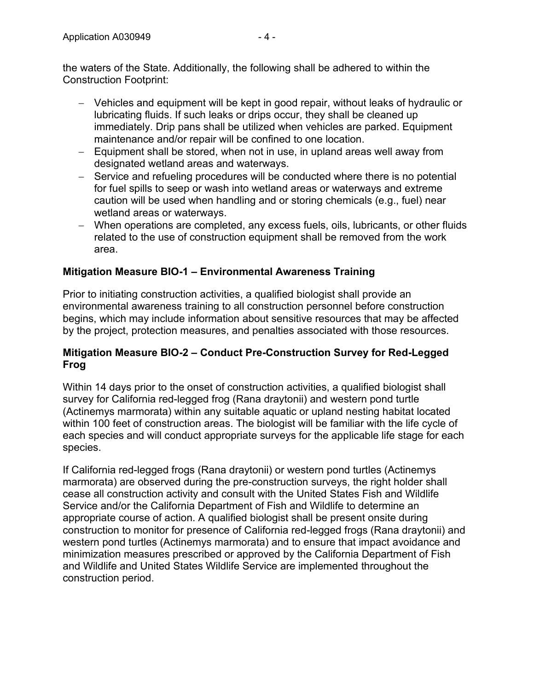- Vehicles and equipment will be kept in good repair, without leaks of hydraulic or lubricating fluids. If such leaks or drips occur, they shall be cleaned up immediately. Drip pans shall be utilized when vehicles are parked. Equipment maintenance and/or repair will be confined to one location.
- Equipment shall be stored, when not in use, in upland areas well away from designated wetland areas and waterways.
- Service and refueling procedures will be conducted where there is no potential for fuel spills to seep or wash into wetland areas or waterways and extreme caution will be used when handling and or storing chemicals (e.g., fuel) near wetland areas or waterways.
- When operations are completed, any excess fuels, oils, lubricants, or other fluids related to the use of construction equipment shall be removed from the work area.

## **Mitigation Measure BIO-1 – Environmental Awareness Training**

Prior to initiating construction activities, a qualified biologist shall provide an environmental awareness training to all construction personnel before construction begins, which may include information about sensitive resources that may be affected by the project, protection measures, and penalties associated with those resources.

#### **Mitigation Measure BIO-2 – Conduct Pre-Construction Survey for Red-Legged Frog**

Within 14 days prior to the onset of construction activities, a qualified biologist shall survey for California red-legged frog (Rana draytonii) and western pond turtle (Actinemys marmorata) within any suitable aquatic or upland nesting habitat located within 100 feet of construction areas. The biologist will be familiar with the life cycle of each species and will conduct appropriate surveys for the applicable life stage for each species.

If California red-legged frogs (Rana draytonii) or western pond turtles (Actinemys marmorata) are observed during the pre-construction surveys, the right holder shall cease all construction activity and consult with the United States Fish and Wildlife Service and/or the California Department of Fish and Wildlife to determine an appropriate course of action. A qualified biologist shall be present onsite during construction to monitor for presence of California red-legged frogs (Rana draytonii) and western pond turtles (Actinemys marmorata) and to ensure that impact avoidance and minimization measures prescribed or approved by the California Department of Fish and Wildlife and United States Wildlife Service are implemented throughout the construction period.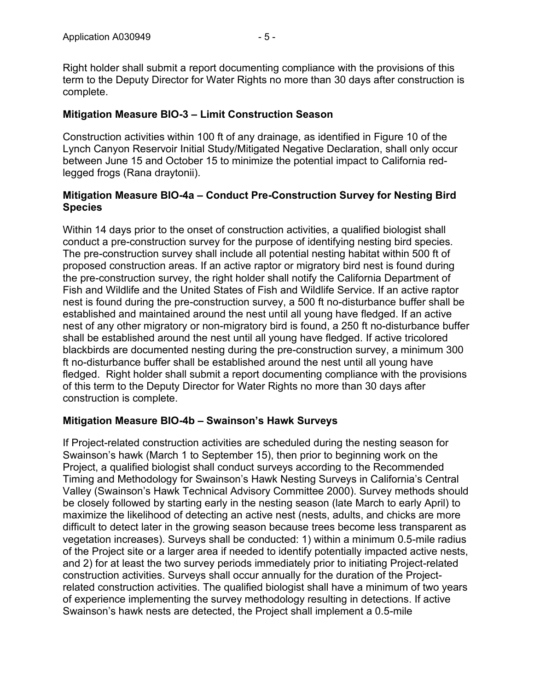Right holder shall submit a report documenting compliance with the provisions of this term to the Deputy Director for Water Rights no more than 30 days after construction is complete.

#### **Mitigation Measure BIO-3 – Limit Construction Season**

Construction activities within 100 ft of any drainage, as identified in Figure 10 of the Lynch Canyon Reservoir Initial Study/Mitigated Negative Declaration, shall only occur between June 15 and October 15 to minimize the potential impact to California redlegged frogs (Rana draytonii).

#### **Mitigation Measure BIO-4a – Conduct Pre-Construction Survey for Nesting Bird Species**

Within 14 days prior to the onset of construction activities, a qualified biologist shall conduct a pre-construction survey for the purpose of identifying nesting bird species. The pre-construction survey shall include all potential nesting habitat within 500 ft of proposed construction areas. If an active raptor or migratory bird nest is found during the pre-construction survey, the right holder shall notify the California Department of Fish and Wildlife and the United States of Fish and Wildlife Service. If an active raptor nest is found during the pre-construction survey, a 500 ft no-disturbance buffer shall be established and maintained around the nest until all young have fledged. If an active nest of any other migratory or non-migratory bird is found, a 250 ft no-disturbance buffer shall be established around the nest until all young have fledged. If active tricolored blackbirds are documented nesting during the pre-construction survey, a minimum 300 ft no-disturbance buffer shall be established around the nest until all young have fledged. Right holder shall submit a report documenting compliance with the provisions of this term to the Deputy Director for Water Rights no more than 30 days after construction is complete.

#### **Mitigation Measure BIO-4b – Swainson's Hawk Surveys**

If Project-related construction activities are scheduled during the nesting season for Swainson's hawk (March 1 to September 15), then prior to beginning work on the Project, a qualified biologist shall conduct surveys according to the Recommended Timing and Methodology for Swainson's Hawk Nesting Surveys in California's Central Valley (Swainson's Hawk Technical Advisory Committee 2000). Survey methods should be closely followed by starting early in the nesting season (late March to early April) to maximize the likelihood of detecting an active nest (nests, adults, and chicks are more difficult to detect later in the growing season because trees become less transparent as vegetation increases). Surveys shall be conducted: 1) within a minimum 0.5-mile radius of the Project site or a larger area if needed to identify potentially impacted active nests, and 2) for at least the two survey periods immediately prior to initiating Project-related construction activities. Surveys shall occur annually for the duration of the Projectrelated construction activities. The qualified biologist shall have a minimum of two years of experience implementing the survey methodology resulting in detections. If active Swainson's hawk nests are detected, the Project shall implement a 0.5-mile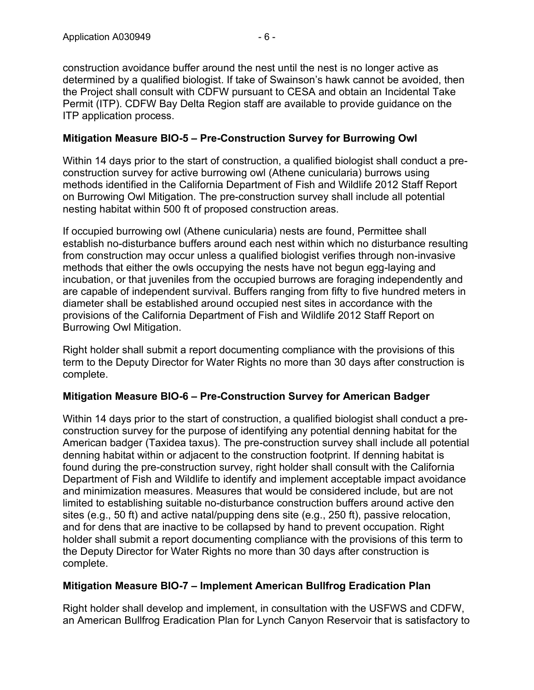construction avoidance buffer around the nest until the nest is no longer active as determined by a qualified biologist. If take of Swainson's hawk cannot be avoided, then the Project shall consult with CDFW pursuant to CESA and obtain an Incidental Take Permit (ITP). CDFW Bay Delta Region staff are available to provide guidance on the ITP application process.

#### **Mitigation Measure BIO-5 – Pre-Construction Survey for Burrowing Owl**

Within 14 days prior to the start of construction, a qualified biologist shall conduct a preconstruction survey for active burrowing owl (Athene cunicularia) burrows using methods identified in the California Department of Fish and Wildlife 2012 Staff Report on Burrowing Owl Mitigation. The pre-construction survey shall include all potential nesting habitat within 500 ft of proposed construction areas.

If occupied burrowing owl (Athene cunicularia) nests are found, Permittee shall establish no-disturbance buffers around each nest within which no disturbance resulting from construction may occur unless a qualified biologist verifies through non-invasive methods that either the owls occupying the nests have not begun egg-laying and incubation, or that juveniles from the occupied burrows are foraging independently and are capable of independent survival. Buffers ranging from fifty to five hundred meters in diameter shall be established around occupied nest sites in accordance with the provisions of the California Department of Fish and Wildlife 2012 Staff Report on Burrowing Owl Mitigation.

Right holder shall submit a report documenting compliance with the provisions of this term to the Deputy Director for Water Rights no more than 30 days after construction is complete.

#### **Mitigation Measure BIO-6 – Pre-Construction Survey for American Badger**

Within 14 days prior to the start of construction, a qualified biologist shall conduct a preconstruction survey for the purpose of identifying any potential denning habitat for the American badger (Taxidea taxus). The pre-construction survey shall include all potential denning habitat within or adjacent to the construction footprint. If denning habitat is found during the pre-construction survey, right holder shall consult with the California Department of Fish and Wildlife to identify and implement acceptable impact avoidance and minimization measures. Measures that would be considered include, but are not limited to establishing suitable no-disturbance construction buffers around active den sites (e.g., 50 ft) and active natal/pupping dens site (e.g., 250 ft), passive relocation, and for dens that are inactive to be collapsed by hand to prevent occupation. Right holder shall submit a report documenting compliance with the provisions of this term to the Deputy Director for Water Rights no more than 30 days after construction is complete.

## **Mitigation Measure BIO-7 – Implement American Bullfrog Eradication Plan**

Right holder shall develop and implement, in consultation with the USFWS and CDFW, an American Bullfrog Eradication Plan for Lynch Canyon Reservoir that is satisfactory to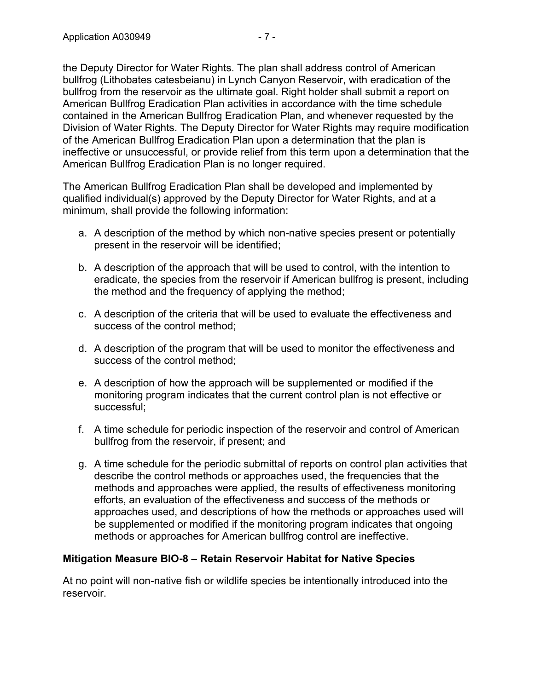the Deputy Director for Water Rights. The plan shall address control of American bullfrog (Lithobates catesbeianu) in Lynch Canyon Reservoir, with eradication of the bullfrog from the reservoir as the ultimate goal. Right holder shall submit a report on American Bullfrog Eradication Plan activities in accordance with the time schedule contained in the American Bullfrog Eradication Plan, and whenever requested by the Division of Water Rights. The Deputy Director for Water Rights may require modification of the American Bullfrog Eradication Plan upon a determination that the plan is ineffective or unsuccessful, or provide relief from this term upon a determination that the American Bullfrog Eradication Plan is no longer required.

The American Bullfrog Eradication Plan shall be developed and implemented by qualified individual(s) approved by the Deputy Director for Water Rights, and at a minimum, shall provide the following information:

- a. A description of the method by which non-native species present or potentially present in the reservoir will be identified;
- b. A description of the approach that will be used to control, with the intention to eradicate, the species from the reservoir if American bullfrog is present, including the method and the frequency of applying the method;
- c. A description of the criteria that will be used to evaluate the effectiveness and success of the control method;
- d. A description of the program that will be used to monitor the effectiveness and success of the control method;
- e. A description of how the approach will be supplemented or modified if the monitoring program indicates that the current control plan is not effective or successful;
- f. A time schedule for periodic inspection of the reservoir and control of American bullfrog from the reservoir, if present; and
- g. A time schedule for the periodic submittal of reports on control plan activities that describe the control methods or approaches used, the frequencies that the methods and approaches were applied, the results of effectiveness monitoring efforts, an evaluation of the effectiveness and success of the methods or approaches used, and descriptions of how the methods or approaches used will be supplemented or modified if the monitoring program indicates that ongoing methods or approaches for American bullfrog control are ineffective.

## **Mitigation Measure BIO-8 – Retain Reservoir Habitat for Native Species**

At no point will non-native fish or wildlife species be intentionally introduced into the reservoir.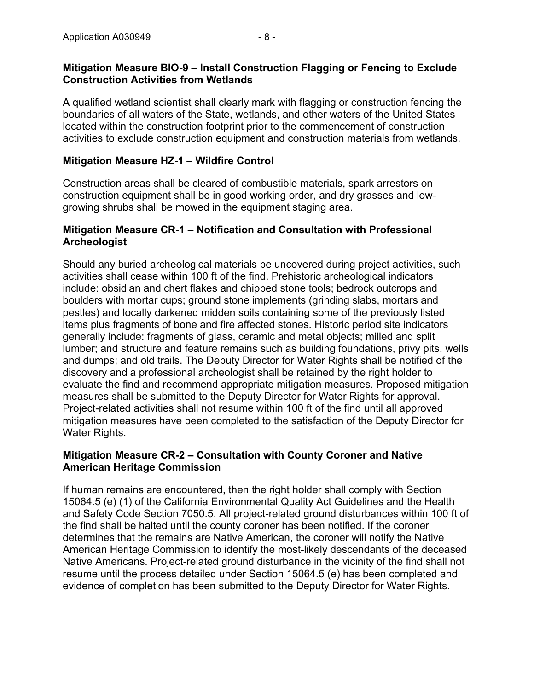A qualified wetland scientist shall clearly mark with flagging or construction fencing the boundaries of all waters of the State, wetlands, and other waters of the United States located within the construction footprint prior to the commencement of construction activities to exclude construction equipment and construction materials from wetlands.

#### **Mitigation Measure HZ-1 – Wildfire Control**

Construction areas shall be cleared of combustible materials, spark arrestors on construction equipment shall be in good working order, and dry grasses and lowgrowing shrubs shall be mowed in the equipment staging area.

#### **Mitigation Measure CR-1 – Notification and Consultation with Professional Archeologist**

Should any buried archeological materials be uncovered during project activities, such activities shall cease within 100 ft of the find. Prehistoric archeological indicators include: obsidian and chert flakes and chipped stone tools; bedrock outcrops and boulders with mortar cups; ground stone implements (grinding slabs, mortars and pestles) and locally darkened midden soils containing some of the previously listed items plus fragments of bone and fire affected stones. Historic period site indicators generally include: fragments of glass, ceramic and metal objects; milled and split lumber; and structure and feature remains such as building foundations, privy pits, wells and dumps; and old trails. The Deputy Director for Water Rights shall be notified of the discovery and a professional archeologist shall be retained by the right holder to evaluate the find and recommend appropriate mitigation measures. Proposed mitigation measures shall be submitted to the Deputy Director for Water Rights for approval. Project-related activities shall not resume within 100 ft of the find until all approved mitigation measures have been completed to the satisfaction of the Deputy Director for Water Rights.

#### **Mitigation Measure CR-2 – Consultation with County Coroner and Native American Heritage Commission**

If human remains are encountered, then the right holder shall comply with Section 15064.5 (e) (1) of the California Environmental Quality Act Guidelines and the Health and Safety Code Section 7050.5. All project-related ground disturbances within 100 ft of the find shall be halted until the county coroner has been notified. If the coroner determines that the remains are Native American, the coroner will notify the Native American Heritage Commission to identify the most-likely descendants of the deceased Native Americans. Project-related ground disturbance in the vicinity of the find shall not resume until the process detailed under Section 15064.5 (e) has been completed and evidence of completion has been submitted to the Deputy Director for Water Rights.